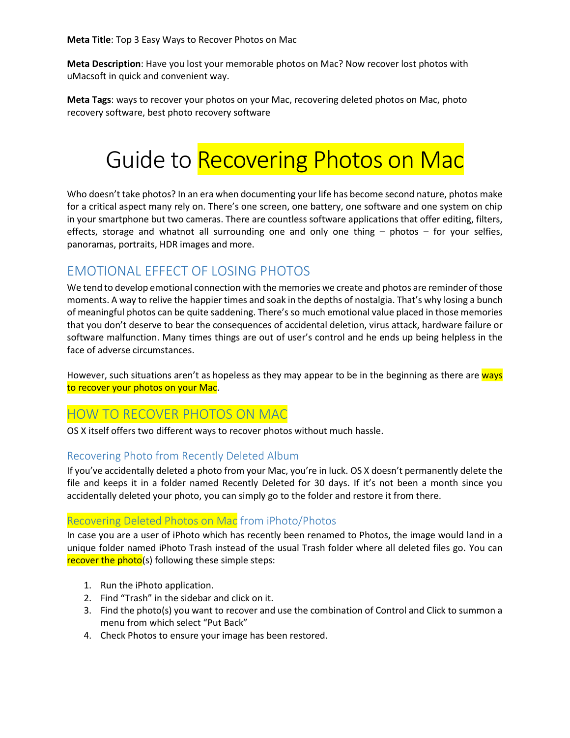**Meta Description**: Have you lost your memorable photos on Mac? Now recover lost photos with uMacsoft in quick and convenient way.

**Meta Tags**: ways to recover your photos on your Mac, recovering deleted photos on Mac, photo recovery software, best photo recovery software

# Guide to Recovering Photos on Mac

Who doesn't take photos? In an era when documenting your life has become second nature, photos make for a critical aspect many rely on. There's one screen, one battery, one software and one system on chip in your smartphone but two cameras. There are countless software applications that offer editing, filters, effects, storage and whatnot all surrounding one and only one thing – photos – for your selfies, panoramas, portraits, HDR images and more.

## EMOTIONAL EFFECT OF LOSING PHOTOS

We tend to develop emotional connection with the memories we create and photos are reminder of those moments. A way to relive the happier times and soak in the depths of nostalgia. That's why losing a bunch of meaningful photos can be quite saddening. There's so much emotional value placed in those memories that you don't deserve to bear the consequences of accidental deletion, virus attack, hardware failure or software malfunction. Many times things are out of user's control and he ends up being helpless in the face of adverse circumstances.

However, such situations aren't as hopeless as they may appear to be in the beginning as there are ways to recover your photos on your Mac.

## HOW TO RECOVER PHOTOS ON MAC

OS X itself offers two different ways to recover photos without much hassle.

#### Recovering Photo from Recently Deleted Album

If you've accidentally deleted a photo from your Mac, you're in luck. OS X doesn't permanently delete the file and keeps it in a folder named Recently Deleted for 30 days. If it's not been a month since you accidentally deleted your photo, you can simply go to the folder and restore it from there.

#### Recovering Deleted Photos on Mac from iPhoto/Photos

In case you are a user of iPhoto which has recently been renamed to Photos, the image would land in a unique folder named iPhoto Trash instead of the usual Trash folder where all deleted files go. You can recover the photo(s) following these simple steps:

- 1. Run the iPhoto application.
- 2. Find "Trash" in the sidebar and click on it.
- 3. Find the photo(s) you want to recover and use the combination of Control and Click to summon a menu from which select "Put Back"
- 4. Check Photos to ensure your image has been restored.